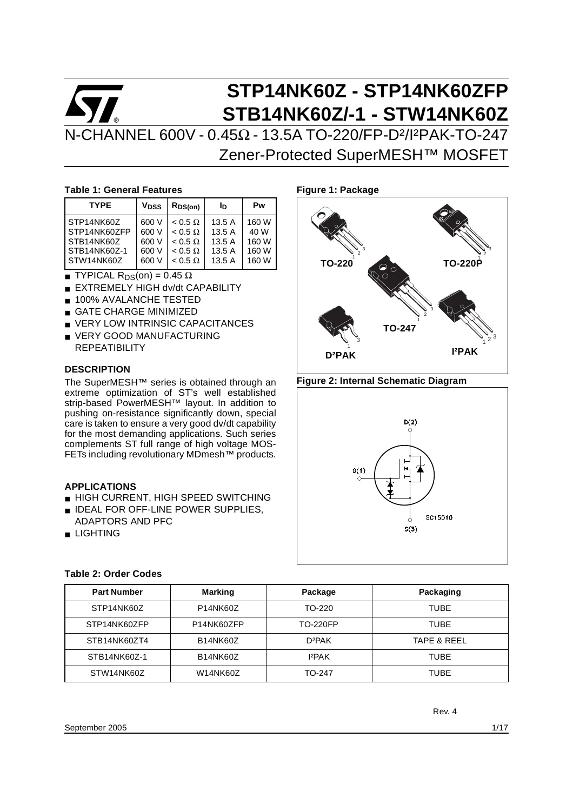#### September 2005 1/17

Rev. 4

**I²PAK**

# **Table 2: Order Codes**

# **APPLICATIONS**

- HIGH CURRENT, HIGH SPEED SWITCHING
- **IDEAL FOR OFF-LINE POWER SUPPLIES.**
- ADAPTORS AND PFC
- LIGHTING

# **Figure 2: Internal Schematic Diagram**



# **Figure 1: Package** 160 W **TO-220**<sup>1</sup>  $\sum_{1}^{3}$  $\frac{1}{3}$   $\frac{1}{2}$  3 1 2 3 **TO-247 TO-220P**

**Table 1: General Features**

| <b>TYPE</b>  | V <sub>DSS</sub> | $R_{DS(on)}$   | I <sub>D</sub> | Pw    |
|--------------|------------------|----------------|----------------|-------|
| STP14NK60Z   | 600 V            | $< 0.5 \Omega$ | 13.5A          | 160 W |
| STP14NK60ZFP | 600 V            | $< 0.5 \Omega$ | 13.5A          | 40 W  |
| STB14NK60Z   | 600 V            | $< 0.5 \Omega$ | 13.5A          | 160 W |
| STB14NK60Z-1 | 600 V            | $< 0.5 \Omega$ | 13.5A          | 160 W |
| STW14NK60Z   | 600 V            | $< 0.5 \Omega$ | 13.5A          | 160 W |

- **TYPICAL R**<sub>DS</sub>(on) = 0.45  $\Omega$
- EXTREMELY HIGH dv/dt CAPABILITY
- 100% AVALANCHE TESTED
- GATE CHARGE MINIMIZED
- VERY LOW INTRINSIC CAPACITANCES
- VERY GOOD MANUFACTURING **REPEATIBILITY**

#### **DESCRIPTION**

**Part Number Marking Package Packaging** STP14NK60Z | P14NK60Z | TO-220 | TUBE STP14NK60ZFP | P14NK60ZFP | TO-220FP | TUBE STB14NK60ZT4 B14NK60Z D²PAK TAPE & REEL STB14NK60Z-1 B14NK60Z I²PAK TUBE STW14NK60Z | W14NK60Z | TO-247 TUBE

# **STP14NK60Z - STP14NK60ZFP STB14NK60Z/-1 - STW14NK60Z** N-CHANNEL 600V - 0.45Ω - 13.5A TO-220/FP-D²/I²PAK-TO-247

Zener-Protected SuperMESH™ MOSFET

**D²PAK**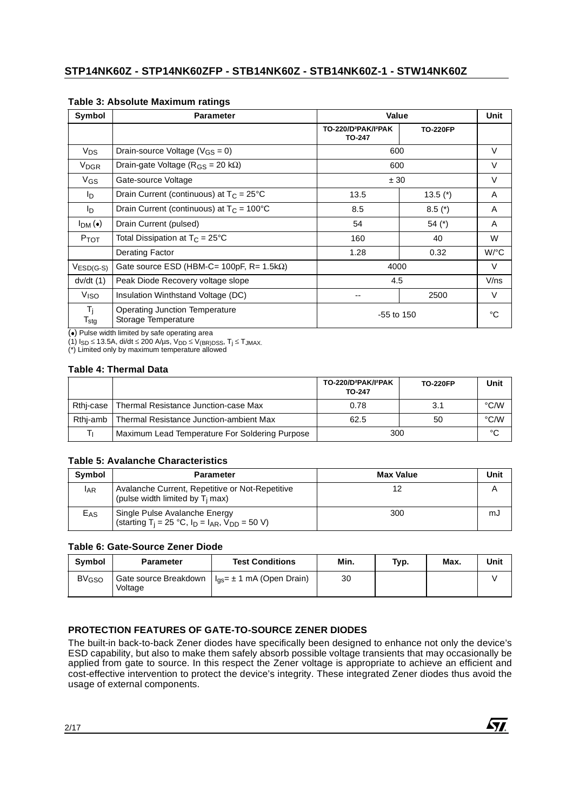| Symbol                 | <b>Parameter</b>                                      | Value                                                  |                 | Unit               |  |
|------------------------|-------------------------------------------------------|--------------------------------------------------------|-----------------|--------------------|--|
|                        |                                                       | TO-220/D <sup>2</sup> PAK/I <sup>2</sup> PAK<br>TO-247 | <b>TO-220FP</b> |                    |  |
| V <sub>DS</sub>        | Drain-source Voltage ( $V_{GS} = 0$ )                 | 600                                                    |                 | $\vee$             |  |
| <b>V<sub>DGR</sub></b> | Drain-gate Voltage ( $R_{GS}$ = 20 k $\Omega$ )       | 600                                                    |                 | $\vee$             |  |
| V <sub>GS</sub>        | Gate-source Voltage                                   |                                                        | ± 30            |                    |  |
| In.                    | Drain Current (continuous) at $T_C = 25^{\circ}C$     | 13.5<br>13.5 $(*)$                                     |                 | A                  |  |
| In.                    | Drain Current (continuous) at $T_C = 100^{\circ}C$    | 8.5                                                    | $8.5(*)$        | A                  |  |
| $I_{DM}(\bullet)$      | Drain Current (pulsed)                                | 54                                                     | 54 $(*)$        | A                  |  |
| P <sub>TOT</sub>       | Total Dissipation at $T_C = 25^{\circ}C$              | 160                                                    | 40              | W                  |  |
|                        | <b>Derating Factor</b>                                | 1.28                                                   | 0.32            | $W$ <sup>o</sup> C |  |
| $VESD(G-S)$            | Gate source ESD (HBM-C= 100pF, $R = 1.5k\Omega$ )     | 4000                                                   |                 | V                  |  |
| dv/dt(1)               | Peak Diode Recovery voltage slope                     | 4.5                                                    |                 | V/ns               |  |
| Viso                   | Insulation Winthstand Voltage (DC)                    | 2500<br>$-$                                            |                 | $\vee$             |  |
| $T_i$<br>$T_{\sf stg}$ | Operating Junction Temperature<br>Storage Temperature | $-55$ to 150                                           |                 | °C                 |  |

#### **Table 3: Absolute Maximum ratings**

() Pulse width limited by safe operating area

(1)  $I_{SD} \le 13.5$ A, di/dt  $\le 200$  A/µs,  $V_{DD} \le V_{(BR)DSS}$ ,  $T_i \le T_{JMAX}$ .

(\*) Limited only by maximum temperature allowed

#### **Table 4: Thermal Data**

|          |                                                  | TO-220/D <sup>2</sup> PAK/I <sup>2</sup> PAK<br><b>TO-247</b> | <b>TO-220FP</b> | <b>Unit</b>   |
|----------|--------------------------------------------------|---------------------------------------------------------------|-----------------|---------------|
|          | Rthj-case   Thermal Resistance Junction-case Max | 0.78                                                          | 3.1             | $\degree$ C/W |
| Rthi-amb | Thermal Resistance Junction-ambient Max          | 62.5                                                          | 50              | °C/W          |
|          | Maximum Lead Temperature For Soldering Purpose   | 300                                                           |                 | °C            |

#### **Table 5: Avalanche Characteristics**

| Symbol          | <b>Parameter</b>                                                                                     | Max Value | Unit |
|-----------------|------------------------------------------------------------------------------------------------------|-----------|------|
| <b>IAR</b>      | Avalanche Current, Repetitive or Not-Repetitive<br>(pulse width limited by $T_i$ max)                | 12        |      |
| E <sub>AS</sub> | Single Pulse Avalanche Energy<br>(starting T <sub>i</sub> = 25 °C, $I_D = I_{AR}$ , $V_{DD} = 50$ V) | 300       | mJ   |

#### **Table 6: Gate-Source Zener Diode**

| <b>Symbol</b>           | <b>Parameter</b> | <b>Test Conditions</b>                                  | Min. | Typ. | Max. | Unit |
|-------------------------|------------------|---------------------------------------------------------|------|------|------|------|
| <b>BV<sub>GSO</sub></b> | Voltage          | Gate source Breakdown $ I_{qs} = \pm 1$ mA (Open Drain) | 30   |      |      |      |

#### **PROTECTION FEATURES OF GATE-TO-SOURCE ZENER DIODES**

The built-in back-to-back Zener diodes have specifically been designed to enhance not only the device's ESD capability, but also to make them safely absorb possible voltage transients that may occasionally be applied from gate to source. In this respect the Zener voltage is appropriate to achieve an efficient and cost-effective intervention to protect the device's integrity. These integrated Zener diodes thus avoid the usage of external components.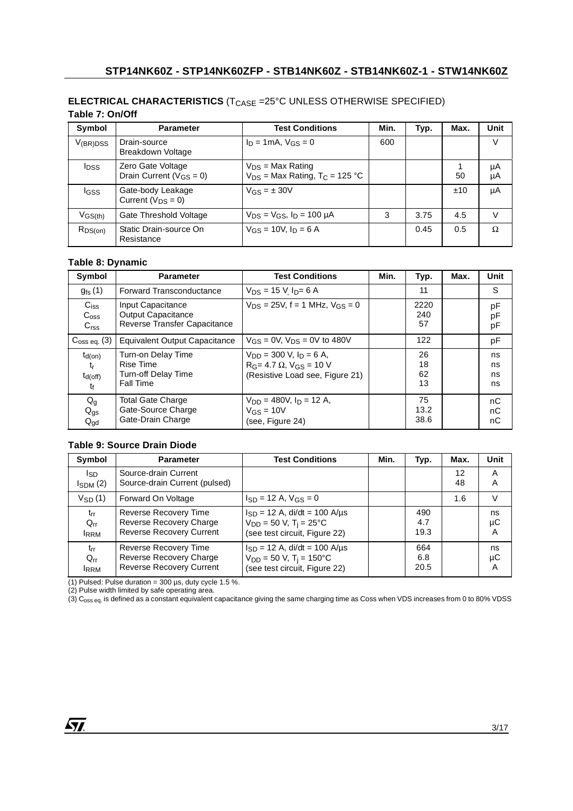#### **ELECTRICAL CHARACTERISTICS** (T<sub>CASE</sub> =25°C UNLESS OTHERWISE SPECIFIED) **Table 7: On/Off**

| Symbol                             | <b>Parameter</b>                                            | <b>Test Conditions</b>                                                  | Min. | Typ. | Max. | Unit     |
|------------------------------------|-------------------------------------------------------------|-------------------------------------------------------------------------|------|------|------|----------|
| $V_{(BR)DSS}$                      | Drain-source<br>Breakdown Voltage                           | $I_D = 1mA$ , $V_{GS} = 0$                                              | 600  |      |      | $\vee$   |
| <b>IDSS</b>                        | Zero Gate Voltage<br>Drain Current ( $V$ <sub>GS</sub> = 0) | $V_{DS}$ = Max Rating<br>$V_{DS}$ = Max Rating, T <sub>C</sub> = 125 °C |      |      | 50   | μA<br>μA |
| <b>I</b> GSS                       | Gate-body Leakage<br>Current ( $V_{DS} = 0$ )               | $V_{GS} = \pm 30V$                                                      |      |      | ±10  | μA       |
| $V$ <sub>GS<math>(th)</math></sub> | Gate Threshold Voltage                                      | $V_{DS} = V_{GS}$ , $I_D = 100 \mu A$                                   | 3    | 3.75 | 4.5  | $\vee$   |
| $R_{DS(on)}$                       | Static Drain-source On<br>Resistance                        | $V_{GS}$ = 10V, $I_D$ = 6 A                                             |      | 0.45 | 0.5  | Ω        |

#### **Table 8: Dynamic**

| Symbol                                            | <b>Parameter</b>                                                               | <b>Test Conditions</b>                                                                                    | Min. | Typ.                 | Max. | Unit                 |
|---------------------------------------------------|--------------------------------------------------------------------------------|-----------------------------------------------------------------------------------------------------------|------|----------------------|------|----------------------|
| $g_{\text{fs}}(1)$                                | <b>Forward Transconductance</b>                                                | $V_{DS}$ = 15 V I <sub>D</sub> = 6 A                                                                      |      | 11                   |      | S                    |
| $C_{iss}$<br>C <sub>oss</sub><br>C <sub>rss</sub> | Input Capacitance<br><b>Output Capacitance</b><br>Reverse Transfer Capacitance | $V_{DS}$ = 25V, f = 1 MHz, $V_{GS}$ = 0                                                                   |      | 2220<br>240<br>57    |      | pF<br>pF<br>pF       |
| $C_{\text{oss eq.}}(3)$                           | Equivalent Output Capacitance                                                  | $V_{GS} = 0V$ , $V_{DS} = 0V$ to 480V                                                                     |      | 122                  |      | pF                   |
| $t_{d(on)}$<br>t,<br>$t_{d(off)}$<br>tf           | Turn-on Delay Time<br>Rise Time<br>Turn-off Delay Time<br><b>Fall Time</b>     | $V_{DD}$ = 300 V, $I_D$ = 6 A,<br>$R_G = 4.7 \Omega$ , $V_{GS} = 10 V$<br>(Resistive Load see, Figure 21) |      | 26<br>18<br>62<br>13 |      | ns<br>ns<br>ns<br>ns |
| $Q_g$<br>$Q_{gs}$<br>$Q_{\text{qd}}$              | <b>Total Gate Charge</b><br>Gate-Source Charge<br>Gate-Drain Charge            | $V_{DD} = 480V$ , $I_D = 12$ A,<br>$V_{GS} = 10V$<br>(see, Figure 24)                                     |      | 75<br>13.2<br>38.6   |      | nC<br>nC<br>пC       |

#### **Table 9: Source Drain Diode**

| Symbol                              | <b>Parameter</b>                                                                    | <b>Test Conditions</b>                                                                                        | Min. | Typ.               | Max.     | Unit          |
|-------------------------------------|-------------------------------------------------------------------------------------|---------------------------------------------------------------------------------------------------------------|------|--------------------|----------|---------------|
| Isp<br>$I_{SDM}$ $(2)$              | Source-drain Current<br>Source-drain Current (pulsed)                               |                                                                                                               |      |                    | 12<br>48 | Α<br>Α        |
| $V_{SD}(1)$                         | Forward On Voltage                                                                  | $I_{SD} = 12$ A, $V_{GS} = 0$                                                                                 |      |                    | 1.6      | V             |
| $t_{rr}$<br>$Q_{rr}$<br><b>IRRM</b> | Reverse Recovery Time<br>Reverse Recovery Charge<br><b>Reverse Recovery Current</b> | $I_{SD}$ = 12 A, di/dt = 100 A/µs<br>$V_{DD} = 50 V$ , T <sub>i</sub> = 25°C<br>(see test circuit, Figure 22) |      | 490<br>4.7<br>19.3 |          | ns<br>μC<br>A |
| $t_{rr}$<br>$Q_{rr}$<br><b>IRRM</b> | Reverse Recovery Time<br>Reverse Recovery Charge<br><b>Reverse Recovery Current</b> | $I_{SD}$ = 12 A, di/dt = 100 A/µs<br>$V_{DD} = 50$ V, T <sub>i</sub> = 150°C<br>(see test circuit, Figure 22) |      | 664<br>6.8<br>20.5 |          | ns<br>μC<br>A |

(1) Pulsed: Pulse duration =  $300 \,\mu s$ , duty cycle 1.5 %.

(2) Pulse width limited by safe operating area.

(3) Coss eq. is defined as a constant equivalent capacitance giving the same charging time as Coss when VDS increases from 0 to 80% VDSS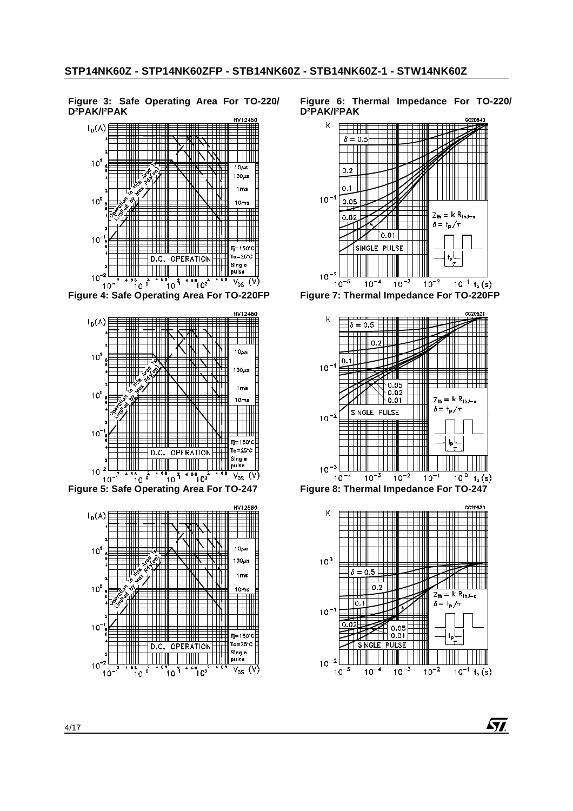**Figure 3:** .**Safe Operating Area For TO-220/ D²PAK/I²PAK**



**Figure 4: Safe Operating Area For TO-220FP**





**Figure 6: Thermal Impedance For TO-220/ D²PAK/I²PAK**



**Figure 7: Thermal Impedance For TO-220FP**





**Ayr**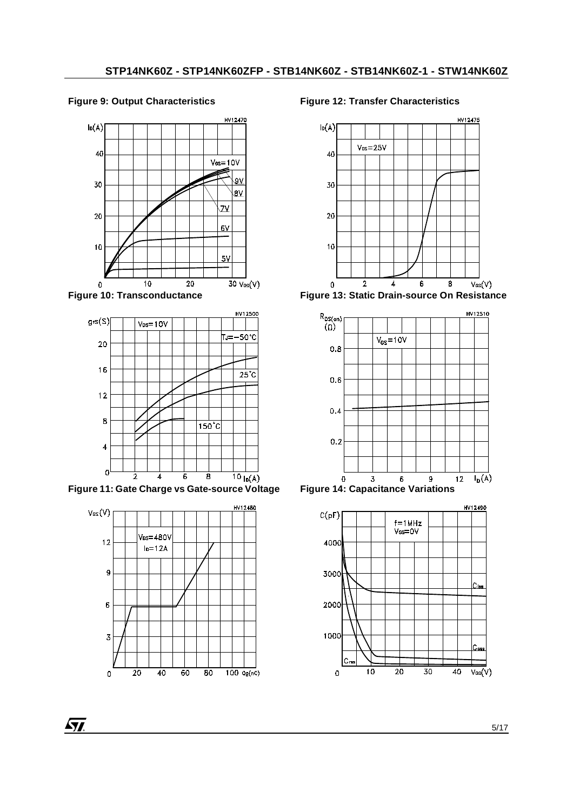### **Figure 9: Output Characteristics**





**Figure 11: Gate Charge vs Gate-source Voltage**



**ST** 

#### **Figure 12: Transfer Characteristics**



**Figure 13: Static Drain-source On Resistance**



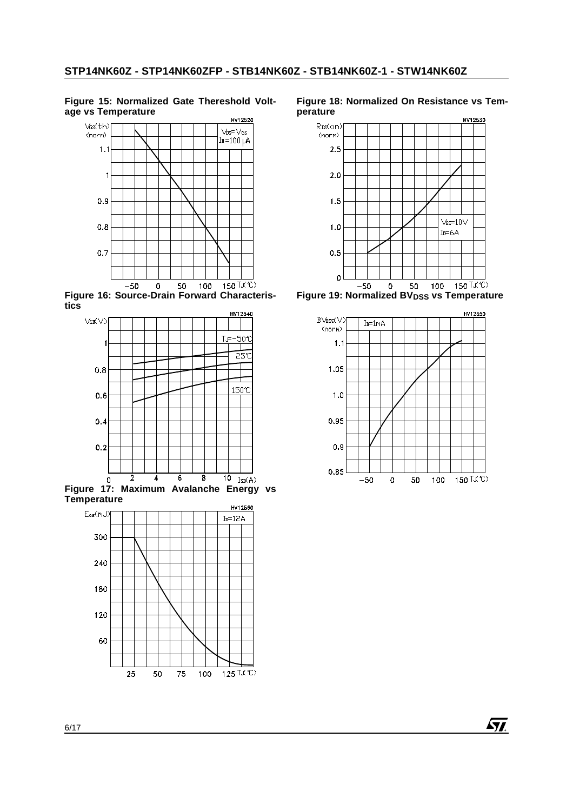#### **Figure 15: Normalized Gate Thereshold Voltage vs Temperature**



**Figure 16: Source-Drain Forward Characteristics**



**Temperature**



#### **Figure 18: Normalized On Resistance vs Temperature**



**Figure 19: Normalized BV<sub>DSS</sub> vs Temperature** 



**Ayt**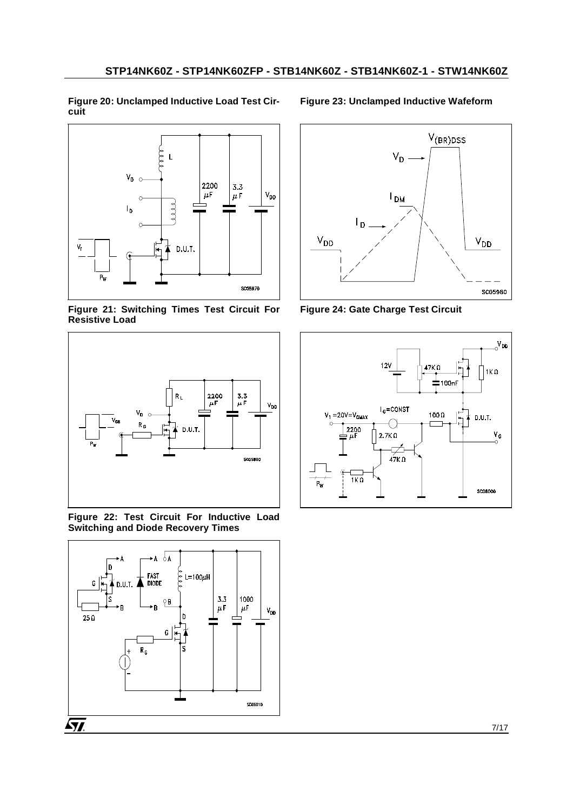**Figure 20: Unclamped Inductive Load Test Circuit** 



<span id="page-6-0"></span>**Figure 21: Switching Times Test Circuit For Resistive Load** 



<span id="page-6-1"></span>**Figure 22: Test Circuit For Inductive Load Switching and Diode Recovery Times** 



**Figure 23: Unclamped Inductive Wafeform**



<span id="page-6-2"></span>**Figure 24: Gate Charge Test Circuit** 

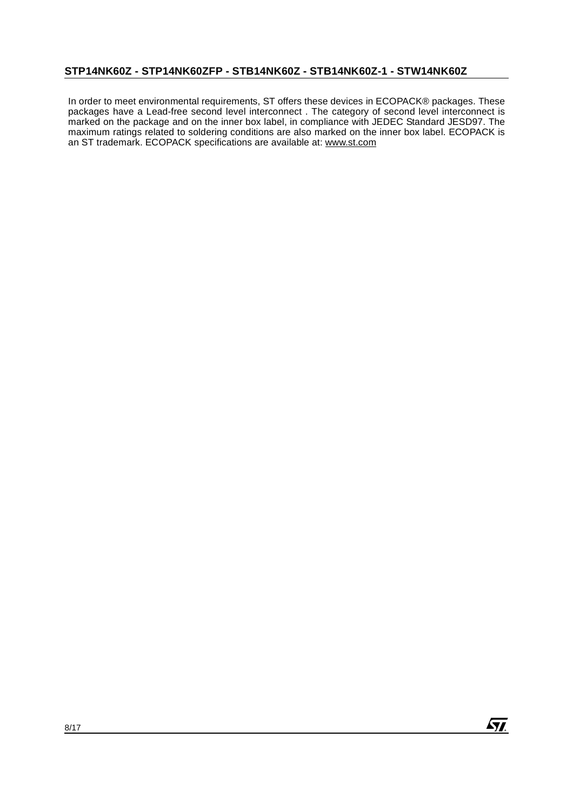In order to meet environmental requirements, ST offers these devices in ECOPACK® packages. These packages have a Lead-free second level interconnect . The category of second level interconnect is marked on the package and on the inner box label, in compliance with JEDEC Standard JESD97. The maximum ratings related to soldering conditions are also marked on the inner box label. ECOPACK is an ST trademark. ECOPACK specifications are available at: www.st.com

**ST.**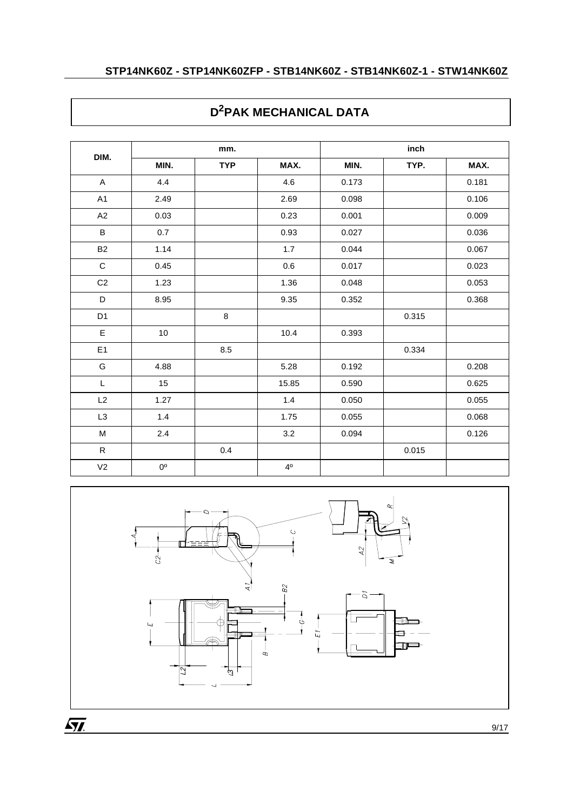### **TO-247 MECHANICAL DATA D2PAK MECHANICAL DATA**

|                           |             | mm.        |             |       | inch  |       |  |  |
|---------------------------|-------------|------------|-------------|-------|-------|-------|--|--|
| DIM.                      | MIN.        | <b>TYP</b> | MAX.        | MIN.  | TYP.  | MAX.  |  |  |
| $\boldsymbol{\mathsf{A}}$ | 4.4         |            | 4.6         | 0.173 |       | 0.181 |  |  |
| A1                        | 2.49        |            | 2.69        | 0.098 |       | 0.106 |  |  |
| A2                        | 0.03        |            | 0.23        | 0.001 |       | 0.009 |  |  |
| $\sf B$                   | 0.7         |            | 0.93        | 0.027 |       | 0.036 |  |  |
| <b>B2</b>                 | 1.14        |            | 1.7         | 0.044 |       | 0.067 |  |  |
| ${\bf C}$                 | 0.45        |            | $0.6\,$     | 0.017 |       | 0.023 |  |  |
| C <sub>2</sub>            | 1.23        |            | 1.36        | 0.048 |       | 0.053 |  |  |
| $\mathsf D$               | 8.95        |            | 9.35        | 0.352 |       | 0.368 |  |  |
| D <sub>1</sub>            |             | $\,8\,$    |             |       | 0.315 |       |  |  |
| E                         | $10\,$      |            | 10.4        | 0.393 |       |       |  |  |
| E <sub>1</sub>            |             | 8.5        |             |       | 0.334 |       |  |  |
| G                         | 4.88        |            | 5.28        | 0.192 |       | 0.208 |  |  |
| $\mathsf L$               | 15          |            | 15.85       | 0.590 |       | 0.625 |  |  |
| L2                        | 1.27        |            | 1.4         | 0.050 |       | 0.055 |  |  |
| L <sub>3</sub>            | $1.4$       |            | 1.75        | 0.055 |       | 0.068 |  |  |
| M                         | 2.4         |            | 3.2         | 0.094 |       | 0.126 |  |  |
| ${\sf R}$                 |             | 0.4        |             |       | 0.015 |       |  |  |
| V <sub>2</sub>            | $0^{\circ}$ |            | $4^{\circ}$ |       |       |       |  |  |

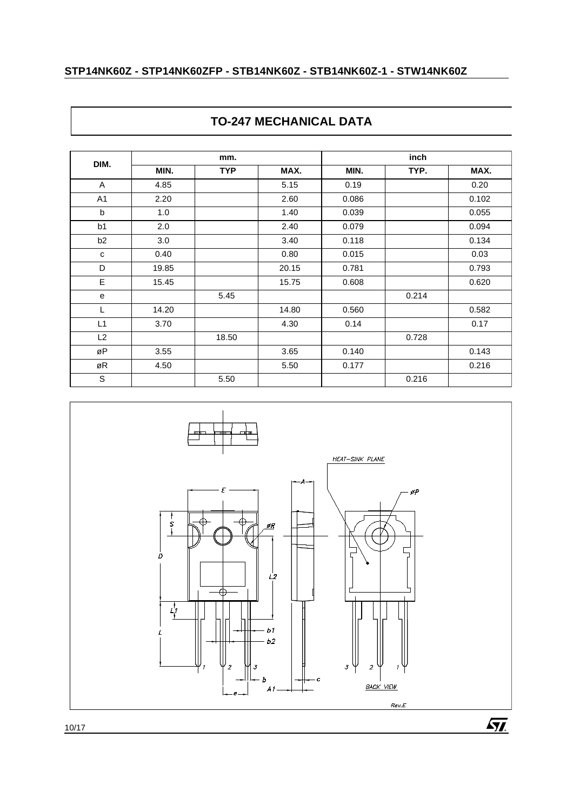## **TO-247 MECHANICAL DATA**

|                |       | mm.        |       | inch  |       |       |  |
|----------------|-------|------------|-------|-------|-------|-------|--|
| DIM.           | MIN.  | <b>TYP</b> | MAX.  | MIN.  | TYP.  | MAX.  |  |
| A              | 4.85  |            | 5.15  | 0.19  |       | 0.20  |  |
| A <sub>1</sub> | 2.20  |            | 2.60  | 0.086 |       | 0.102 |  |
| b              | 1.0   |            | 1.40  | 0.039 |       | 0.055 |  |
| b <sub>1</sub> | 2.0   |            | 2.40  | 0.079 |       | 0.094 |  |
| b <sub>2</sub> | 3.0   |            | 3.40  | 0.118 |       | 0.134 |  |
| c              | 0.40  |            | 0.80  | 0.015 |       | 0.03  |  |
| D              | 19.85 |            | 20.15 | 0.781 |       | 0.793 |  |
| Е              | 15.45 |            | 15.75 | 0.608 |       | 0.620 |  |
| e              |       | 5.45       |       |       | 0.214 |       |  |
| L              | 14.20 |            | 14.80 | 0.560 |       | 0.582 |  |
| L1             | 3.70  |            | 4.30  | 0.14  |       | 0.17  |  |
| L2             |       | 18.50      |       |       | 0.728 |       |  |
| øP             | 3.55  |            | 3.65  | 0.140 |       | 0.143 |  |
| øR             | 4.50  |            | 5.50  | 0.177 |       | 0.216 |  |
| S              |       | 5.50       |       |       | 0.216 |       |  |

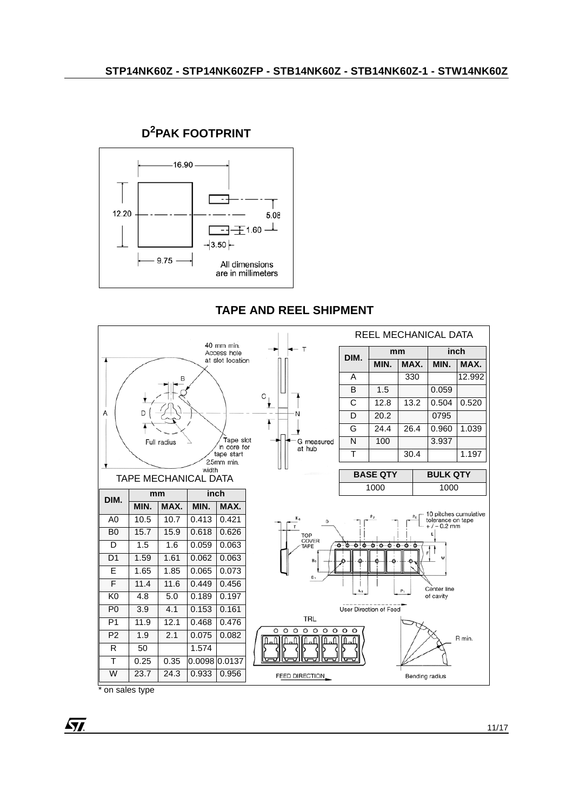

### **TAPE AND REEL SHIPMENT**



on sales type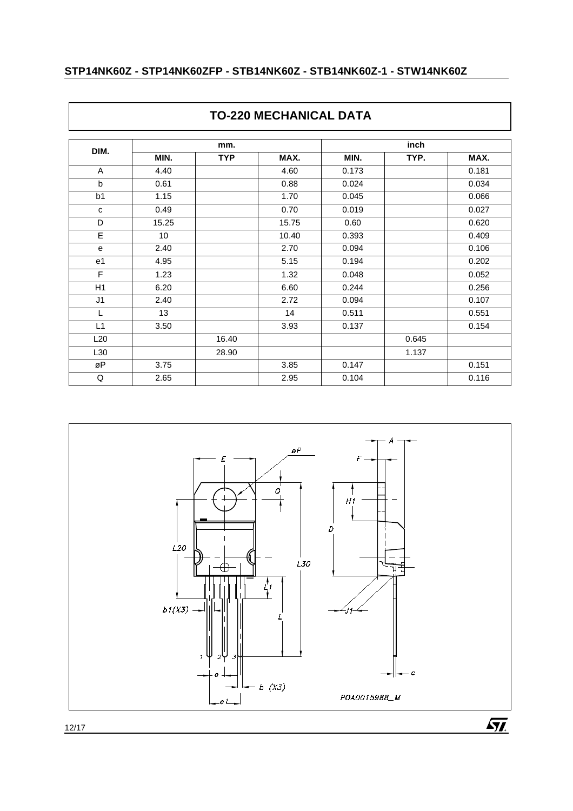### **TO-220 MECHANICAL DATA**

| DIM.           | mm.   |            |       | inch  |       |       |
|----------------|-------|------------|-------|-------|-------|-------|
|                | MIN.  | <b>TYP</b> | MAX.  | MIN.  | TYP.  | MAX.  |
| A              | 4.40  |            | 4.60  | 0.173 |       | 0.181 |
| b              | 0.61  |            | 0.88  | 0.024 |       | 0.034 |
| b <sub>1</sub> | 1.15  |            | 1.70  | 0.045 |       | 0.066 |
| $\mathbf C$    | 0.49  |            | 0.70  | 0.019 |       | 0.027 |
| D              | 15.25 |            | 15.75 | 0.60  |       | 0.620 |
| E              | 10    |            | 10.40 | 0.393 |       | 0.409 |
| e              | 2.40  |            | 2.70  | 0.094 |       | 0.106 |
| e1             | 4.95  |            | 5.15  | 0.194 |       | 0.202 |
| F              | 1.23  |            | 1.32  | 0.048 |       | 0.052 |
| H1             | 6.20  |            | 6.60  | 0.244 |       | 0.256 |
| J <sub>1</sub> | 2.40  |            | 2.72  | 0.094 |       | 0.107 |
| L              | 13    |            | 14    | 0.511 |       | 0.551 |
| L1             | 3.50  |            | 3.93  | 0.137 |       | 0.154 |
| L20            |       | 16.40      |       |       | 0.645 |       |
| L30            |       | 28.90      |       |       | 1.137 |       |
| øP             | 3.75  |            | 3.85  | 0.147 |       | 0.151 |
| Q              | 2.65  |            | 2.95  | 0.104 |       | 0.116 |

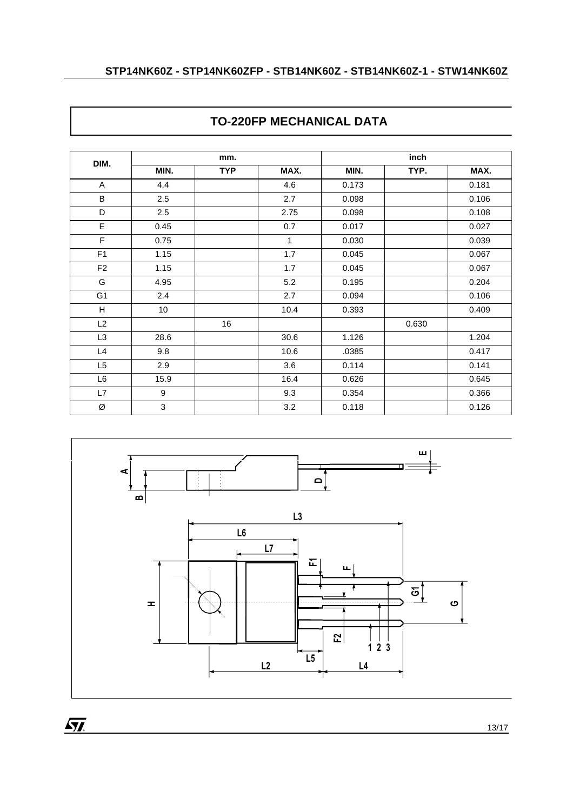# **TO-220FP MECHANICAL DATA**

| DIM.           | mm.              |            |              | inch  |       |       |
|----------------|------------------|------------|--------------|-------|-------|-------|
|                | MIN.             | <b>TYP</b> | MAX.         | MIN.  | TYP.  | MAX.  |
| A              | 4.4              |            | 4.6          | 0.173 |       | 0.181 |
| B              | 2.5              |            | 2.7          | 0.098 |       | 0.106 |
| D              | 2.5              |            | 2.75         | 0.098 |       | 0.108 |
| E              | 0.45             |            | 0.7          | 0.017 |       | 0.027 |
| F              | 0.75             |            | $\mathbf{1}$ | 0.030 |       | 0.039 |
| F <sub>1</sub> | 1.15             |            | 1.7          | 0.045 |       | 0.067 |
| F <sub>2</sub> | 1.15             |            | 1.7          | 0.045 |       | 0.067 |
| G              | 4.95             |            | 5.2          | 0.195 |       | 0.204 |
| G <sub>1</sub> | 2.4              |            | 2.7          | 0.094 |       | 0.106 |
| н              | 10 <sub>1</sub>  |            | 10.4         | 0.393 |       | 0.409 |
| L2             |                  | 16         |              |       | 0.630 |       |
| L <sub>3</sub> | 28.6             |            | 30.6         | 1.126 |       | 1.204 |
| L4             | 9.8              |            | 10.6         | .0385 |       | 0.417 |
| L <sub>5</sub> | 2.9              |            | 3.6          | 0.114 |       | 0.141 |
| L6             | 15.9             |            | 16.4         | 0.626 |       | 0.645 |
| L7             | $\boldsymbol{9}$ |            | 9.3          | 0.354 |       | 0.366 |
| Ø              | 3                |            | 3.2          | 0.118 |       | 0.126 |



 $\sqrt{M}$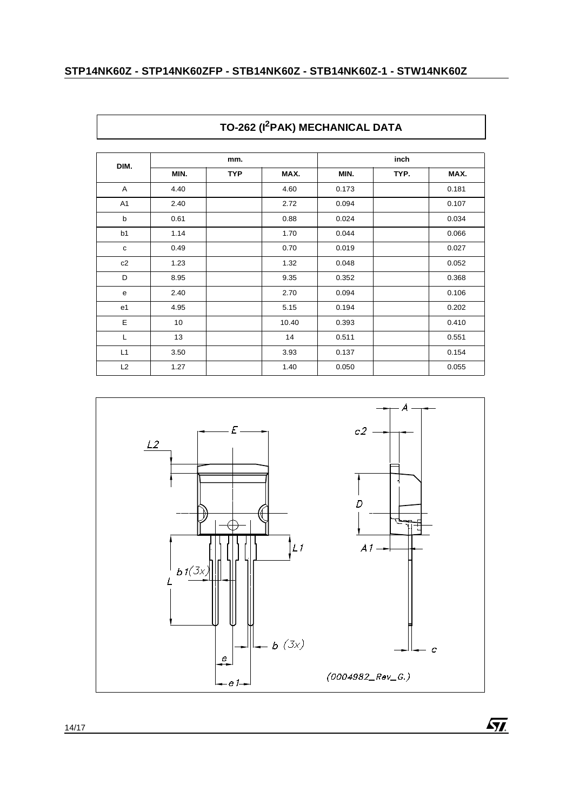| DIM.           | mm.  |            |       | inch  |      |       |
|----------------|------|------------|-------|-------|------|-------|
|                | MIN. | <b>TYP</b> | MAX.  | MIN.  | TYP. | MAX.  |
| A              | 4.40 |            | 4.60  | 0.173 |      | 0.181 |
| A1             | 2.40 |            | 2.72  | 0.094 |      | 0.107 |
| b              | 0.61 |            | 0.88  | 0.024 |      | 0.034 |
| b1             | 1.14 |            | 1.70  | 0.044 |      | 0.066 |
| c              | 0.49 |            | 0.70  | 0.019 |      | 0.027 |
| c2             | 1.23 |            | 1.32  | 0.048 |      | 0.052 |
| D              | 8.95 |            | 9.35  | 0.352 |      | 0.368 |
| e              | 2.40 |            | 2.70  | 0.094 |      | 0.106 |
| e <sub>1</sub> | 4.95 |            | 5.15  | 0.194 |      | 0.202 |
| E              | 10   |            | 10.40 | 0.393 |      | 0.410 |
| L              | 13   |            | 14    | 0.511 |      | 0.551 |
| L1             | 3.50 |            | 3.93  | 0.137 |      | 0.154 |
| L2             | 1.27 |            | 1.40  | 0.050 |      | 0.055 |





14/17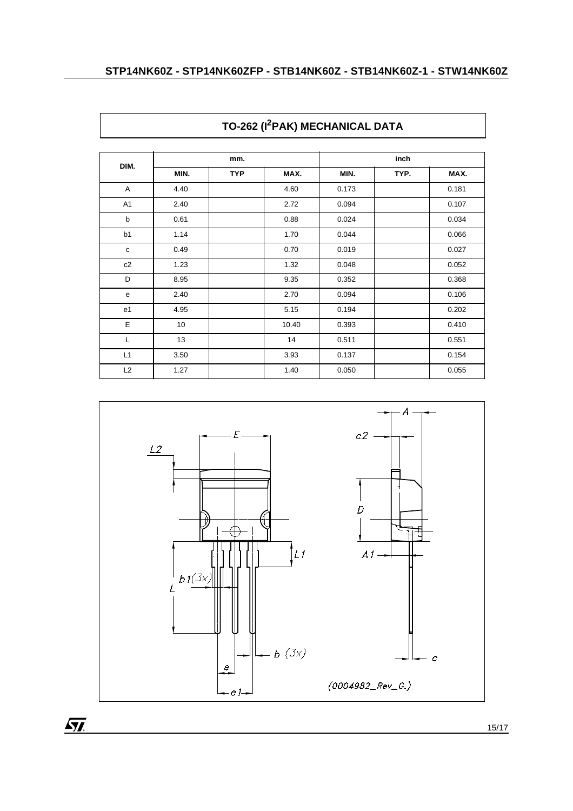| DIM.           | mm.  |            |       | inch  |      |       |
|----------------|------|------------|-------|-------|------|-------|
|                | MIN. | <b>TYP</b> | MAX.  | MIN.  | TYP. | MAX.  |
| A              | 4.40 |            | 4.60  | 0.173 |      | 0.181 |
| A <sub>1</sub> | 2.40 |            | 2.72  | 0.094 |      | 0.107 |
| b              | 0.61 |            | 0.88  | 0.024 |      | 0.034 |
| b <sub>1</sub> | 1.14 |            | 1.70  | 0.044 |      | 0.066 |
| $\mathbf c$    | 0.49 |            | 0.70  | 0.019 |      | 0.027 |
| c2             | 1.23 |            | 1.32  | 0.048 |      | 0.052 |
| D              | 8.95 |            | 9.35  | 0.352 |      | 0.368 |
| e              | 2.40 |            | 2.70  | 0.094 |      | 0.106 |
| e <sub>1</sub> | 4.95 |            | 5.15  | 0.194 |      | 0.202 |
| E              | 10   |            | 10.40 | 0.393 |      | 0.410 |
| L              | 13   |            | 14    | 0.511 |      | 0.551 |
| L1             | 3.50 |            | 3.93  | 0.137 |      | 0.154 |
| L2             | 1.27 |            | 1.40  | 0.050 |      | 0.055 |

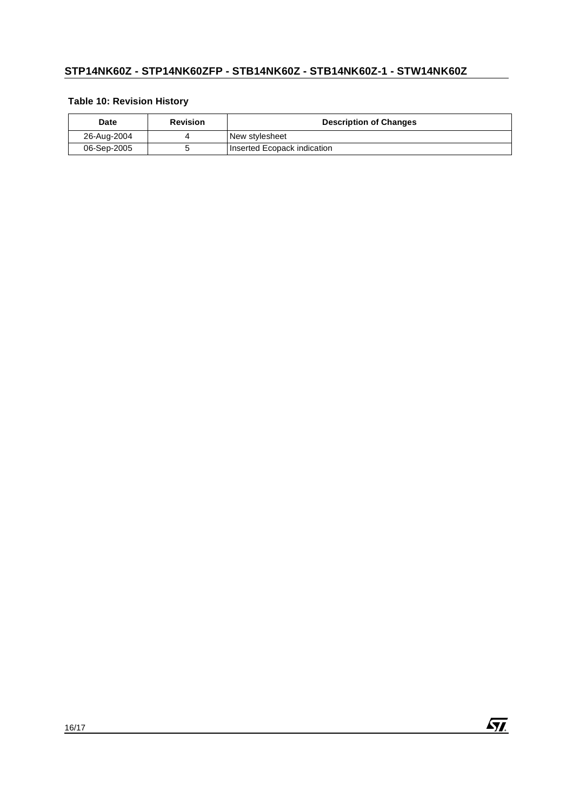### **Table 10: Revision History**

| Date        | <b>Revision</b> | <b>Description of Changes</b> |
|-------------|-----------------|-------------------------------|
| 26-Aug-2004 |                 | New stylesheet                |
| 06-Sep-2005 |                 | Inserted Ecopack indication   |